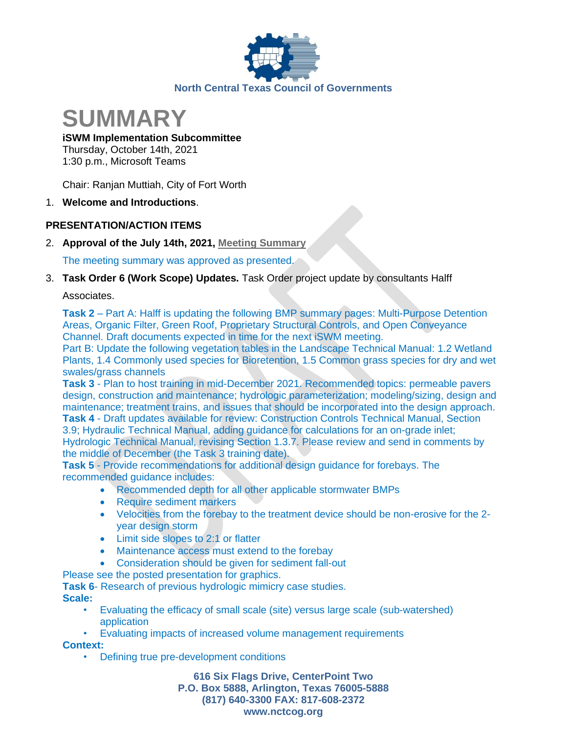



## **iSWM Implementation Subcommittee**

Thursday, October 14th, 2021 1:30 p.m., Microsoft Teams

Chair: Ranjan Muttiah, City of Fort Worth

1. **Welcome and Introductions**.

# **PRESENTATION/ACTION ITEMS**

2. **Approval of the July 14th, 2021, [Meeting Summary](https://www.nctcog.org/nctcg/media/Environment-and-Development/Committee%20Documents/iSWM/Final-07-14-21-Summary.pdf?ext=.pdf)**

The meeting summary was approved as presented.

3. **Task Order 6 (Work Scope) Updates.** Task Order project update by consultants Halff

Associates.

**Task 2** – Part A: Halff is updating the following BMP summary pages: Multi-Purpose Detention Areas, Organic Filter, Green Roof, Proprietary Structural Controls, and Open Conveyance Channel. Draft documents expected in time for the next iSWM meeting.

Part B: Update the following vegetation tables in the Landscape Technical Manual: 1.2 Wetland Plants, 1.4 Commonly used species for Bioretention, 1.5 Common grass species for dry and wet swales/grass channels

**Task 3** - Plan to host training in mid-December 2021. Recommended topics: permeable pavers design, construction and maintenance; hydrologic parameterization; modeling/sizing, design and maintenance; treatment trains, and issues that should be incorporated into the design approach.

**Task 4** - Draft updates available for review: Construction Controls Technical Manual, Section 3.9; Hydraulic Technical Manual, adding guidance for calculations for an on-grade inlet; Hydrologic Technical Manual, revising Section 1.3.7. Please review and send in comments by the middle of December (the Task 3 training date).

**Task 5** - Provide recommendations for additional design guidance for forebays. The recommended guidance includes:

- Recommended depth for all other applicable stormwater BMPs
- Require sediment markers
- Velocities from the forebay to the treatment device should be non-erosive for the 2 year design storm
- Limit side slopes to 2:1 or flatter
- Maintenance access must extend to the forebay
- Consideration should be given for sediment fall-out
- Please see the posted presentation for graphics.

**Task 6**- Research of previous hydrologic mimicry case studies. **Scale:**

- Evaluating the efficacy of small scale (site) versus large scale (sub-watershed) application
- Evaluating impacts of increased volume management requirements

## **Context:**

• Defining true pre-development conditions

**616 Six Flags Drive, CenterPoint Two P.O. Box 5888, Arlington, Texas 76005-5888 (817) 640-3300 FAX: 817-608-2372 www.nctcog.org**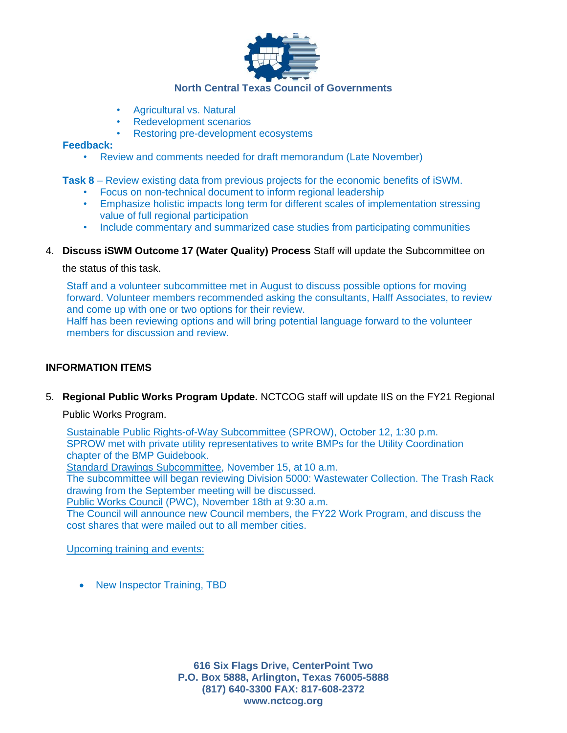

## **North Central Texas Council of Governments**

- Agricultural vs. Natural
- Redevelopment scenarios
- Restoring pre-development ecosystems

#### **Feedback:**

• Review and comments needed for draft memorandum (Late November)

#### **Task 8** – Review existing data from previous projects for the economic benefits of iSWM.

- Focus on non-technical document to inform regional leadership
- Emphasize holistic impacts long term for different scales of implementation stressing value of full regional participation
- Include commentary and summarized case studies from participating communities

## 4. **Discuss iSWM Outcome 17 (Water Quality) Process** Staff will update the Subcommittee on

the status of this task.

Staff and a volunteer subcommittee met in August to discuss possible options for moving forward. Volunteer members recommended asking the consultants, Halff Associates, to review and come up with one or two options for their review. Halff has been reviewing options and will bring potential language forward to the volunteer members for discussion and review.

## **INFORMATION ITEMS**

5. **Regional Public Works Program Update.** NCTCOG staff will update IIS on the FY21 Regional

Public Works Program.

[Sustainable Public Rights-of-Way Subcommittee](https://www.nctcog.org/envir/committees/public-works-council/sustainable-public-rights-of-way-subcommittee) (SPROW), October 12, 1:30 p.m. SPROW met with private utility representatives to write BMPs for the Utility Coordination chapter of the BMP Guidebook.

[Standard Drawings Subcommittee,](https://www.nctcog.org/envir/committees/public-works-council/standard-drawings-subcommittee) November 15, at 10 a.m.

The subcommittee will began reviewing Division 5000: Wastewater Collection. The Trash Rack drawing from the September meeting will be discussed.

[Public Works Council](https://www.nctcog.org/envir/committees/public-works-council) (PWC), November 18th at 9:30 a.m.

The Council will announce new Council members, the FY22 Work Program, and discuss the cost shares that were mailed out to all member cities.

Upcoming training and events:

• New Inspector Training, TBD

**616 Six Flags Drive, CenterPoint Two P.O. Box 5888, Arlington, Texas 76005-5888 (817) 640-3300 FAX: 817-608-2372 www.nctcog.org**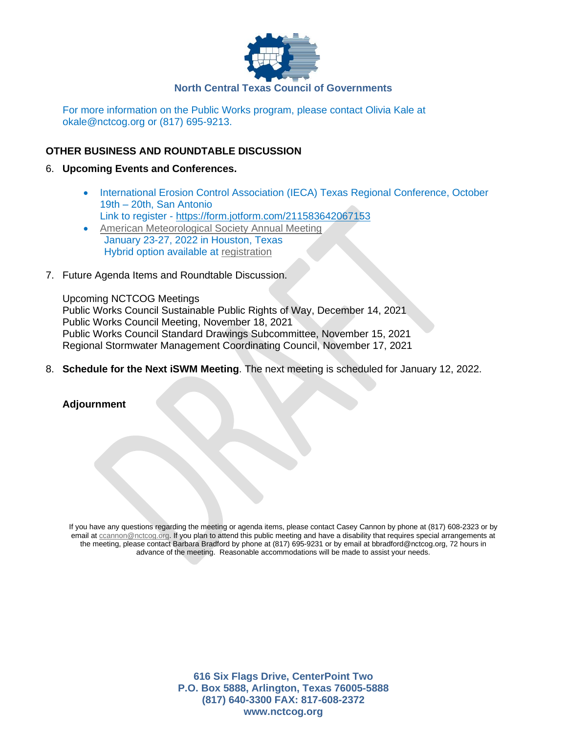

For more information on the Public Works program, please contact Olivia Kale at okale@nctcog.org or (817) 695-9213.

## **OTHER BUSINESS AND ROUNDTABLE DISCUSSION**

#### 6. **Upcoming Events and Conferences.**

• International Erosion Control Association (IECA) Texas Regional Conference, October 19th – 20th, San Antonio

Link to register - <https://form.jotform.com/211583642067153>

- [American Meteorological Society Annual Meeting](https://annual.ametsoc.org/index.cfm/2022/) January 23-27, 2022 in Houston, Texas Hybrid option available at [registration](https://annual.ametsoc.org/index.cfm/2022/registration/)
- 7. Future Agenda Items and Roundtable Discussion.

Upcoming NCTCOG Meetings Public Works Council Sustainable Public Rights of Way, December 14, 2021 Public Works Council Meeting, November 18, 2021 Public Works Council Standard Drawings Subcommittee, November 15, 2021 Regional Stormwater Management Coordinating Council, November 17, 2021

8. **Schedule for the Next iSWM Meeting**. The next meeting is scheduled for January 12, 2022.

**Adjournment**

If you have any questions regarding the meeting or agenda items, please contact Casey Cannon by phone at (817) 608-2323 or by email at [ccannon@nctcog.org.](mailto:ccannon@nctcog.org) If you plan to attend this public meeting and have a disability that requires special arrangements at the meeting, please contact Barbara Bradford by phone at (817) 695-9231 or by email at bbradford@nctcog.org, 72 hours in advance of the meeting. Reasonable accommodations will be made to assist your needs.

> **616 Six Flags Drive, CenterPoint Two P.O. Box 5888, Arlington, Texas 76005-5888 (817) 640-3300 FAX: 817-608-2372 www.nctcog.org**